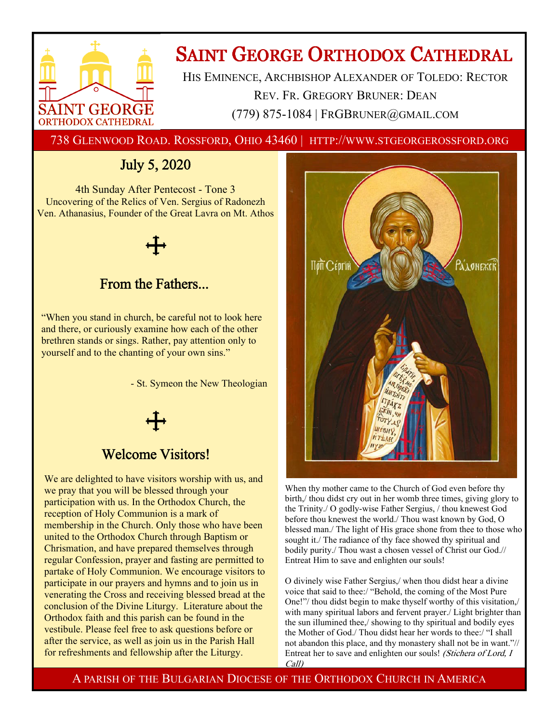

## **SAINT GEORGE ORTHODOX CATHEDRAL**

HIS EMINENCE, ARCHBISHOP ALEXANDER OF TOLEDO: RECTOR REV. FR. GREGORY BRUNER: DEAN (779) 875-1084 | FRGBRUNER@GMAIL.COM

738 GLENWOOD ROAD. ROSSFORD, OHIO 43460 | HTTP://WWW.STGEORGEROSSFORD.ORG

## July 5, 2020

4th Sunday After Pentecost - Tone 3 Uncovering of the Relics of Ven. Sergius of Radonezh Ven. Athanasius, Founder of the Great Lavra on Mt. Athos

# From the Fathers...

## "When you stand in church, be careful not to look here and there, or curiously examine how each of the other brethren stands or sings. Rather, pay attention only to

yourself and to the chanting of your own sins."

- St. Symeon the New Theologian

## Welcome Visitors!

We are delighted to have visitors worship with us, and we pray that you will be blessed through your participation with us. In the Orthodox Church, the reception of Holy Communion is a mark of membership in the Church. Only those who have been united to the Orthodox Church through Baptism or Chrismation, and have prepared themselves through regular Confession, prayer and fasting are permitted to partake of Holy Communion. We encourage visitors to participate in our prayers and hymns and to join us in venerating the Cross and receiving blessed bread at the conclusion of the Divine Liturgy. Literature about the Orthodox faith and this parish can be found in the vestibule. Please feel free to ask questions before or after the service, as well as join us in the Parish Hall for refreshments and fellowship after the Liturgy.



When thy mother came to the Church of God even before thy birth,/ thou didst cry out in her womb three times, giving glory to the Trinity./ O godly-wise Father Sergius, / thou knewest God before thou knewest the world./ Thou wast known by God, O blessed man./ The light of His grace shone from thee to those who sought it./ The radiance of thy face showed thy spiritual and bodily purity./ Thou wast a chosen vessel of Christ our God.// Entreat Him to save and enlighten our souls!

O divinely wise Father Sergius,/ when thou didst hear a divine voice that said to thee:/ "Behold, the coming of the Most Pure One!"/ thou didst begin to make thyself worthy of this visitation,/ with many spiritual labors and fervent prayer./ Light brighter than the sun illumined thee,/ showing to thy spiritual and bodily eyes the Mother of God./ Thou didst hear her words to thee:/ "I shall not abandon this place, and thy monastery shall not be in want."// Entreat her to save and enlighten our souls! (Stichera of Lord, I Call)

A PARISH OF THE BULGARIAN DIOCESE OF THE ORTHODOX CHURCH IN AMERICA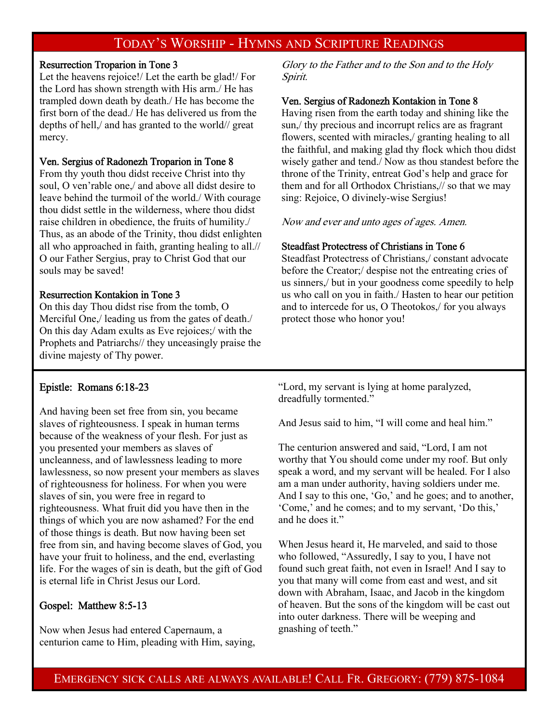### TODAY'S WORSHIP - HYMNS AND SCRIPTURE READINGS

#### Resurrection Troparion in Tone 3

Let the heavens rejoice!/ Let the earth be glad!/ For the Lord has shown strength with His arm./ He has trampled down death by death./ He has become the first born of the dead./ He has delivered us from the depths of hell,/ and has granted to the world// great mercy.

#### Ven. Sergius of Radonezh Troparion in Tone 8

From thy youth thou didst receive Christ into thy soul, O ven'rable one,/ and above all didst desire to leave behind the turmoil of the world./ With courage thou didst settle in the wilderness, where thou didst raise children in obedience, the fruits of humility./ Thus, as an abode of the Trinity, thou didst enlighten all who approached in faith, granting healing to all.// O our Father Sergius, pray to Christ God that our souls may be saved!

#### Resurrection Kontakion in Tone 3

On this day Thou didst rise from the tomb, O Merciful One,/ leading us from the gates of death./ On this day Adam exults as Eve rejoices;/ with the Prophets and Patriarchs// they unceasingly praise the divine majesty of Thy power.

Glory to the Father and to the Son and to the Holy Spirit.

#### Ven. Sergius of Radonezh Kontakion in Tone 8

Having risen from the earth today and shining like the sun,/ thy precious and incorrupt relics are as fragrant flowers, scented with miracles, granting healing to all the faithful, and making glad thy flock which thou didst wisely gather and tend./ Now as thou standest before the throne of the Trinity, entreat God's help and grace for them and for all Orthodox Christians,// so that we may sing: Rejoice, O divinely-wise Sergius!

Now and ever and unto ages of ages. Amen.

#### Steadfast Protectress of Christians in Tone 6

Steadfast Protectress of Christians,/ constant advocate before the Creator;/ despise not the entreating cries of us sinners,/ but in your goodness come speedily to help us who call on you in faith./ Hasten to hear our petition and to intercede for us, O Theotokos,/ for you always protect those who honor you!

#### Epistle: Romans 6:18-23

And having been set free from sin, you became slaves of righteousness. I speak in human terms because of the weakness of your flesh. For just as you presented your members as slaves of uncleanness, and of lawlessness leading to more lawlessness, so now present your members as slaves of righteousness for holiness. For when you were slaves of sin, you were free in regard to righteousness. What fruit did you have then in the things of which you are now ashamed? For the end of those things is death. But now having been set free from sin, and having become slaves of God, you have your fruit to holiness, and the end, everlasting life. For the wages of sin is death, but the gift of God is eternal life in Christ Jesus our Lord.

#### Gospel: Matthew 8:5-13

Now when Jesus had entered Capernaum, a centurion came to Him, pleading with Him, saying, "Lord, my servant is lying at home paralyzed, dreadfully tormented."

And Jesus said to him, "I will come and heal him."

The centurion answered and said, "Lord, I am not worthy that You should come under my roof. But only speak a word, and my servant will be healed. For I also am a man under authority, having soldiers under me. And I say to this one, 'Go,' and he goes; and to another, 'Come,' and he comes; and to my servant, 'Do this,' and he does it."

When Jesus heard it, He marveled, and said to those who followed, "Assuredly, I say to you, I have not found such great faith, not even in Israel! And I say to you that many will come from east and west, and sit down with Abraham, Isaac, and Jacob in the kingdom of heaven. But the sons of the kingdom will be cast out into outer darkness. There will be weeping and gnashing of teeth."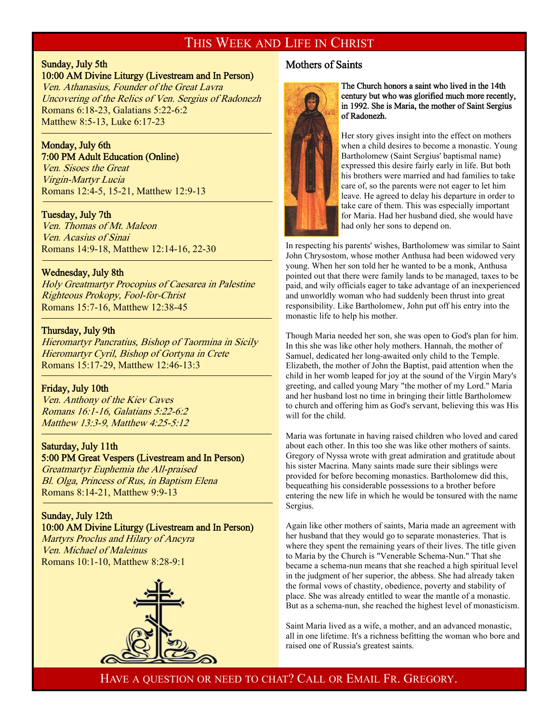### THIS WEEK AND LIFE IN CHRIST

### Sunday, July 5th

<sup>-</sup>

<sup>-</sup>

f

#### 10:00 AM Divine Liturgy (Livestream and In Person)

Ven. Athanasius, Founder of the Great Lavra Uncovering of the Relics of Ven. Sergius of Radonezh Romans 6:18-23, Galatians 5:22-6:2 Matthew 8:5-13, Luke 6:17-23

#### Monday, July 6th 7:00 PM Adult Education (Online)

Ven. Sisoes the Great Virgin-Martyr Lucia Romans 12:4-5, 15-21, Matthew 12:9-13

#### Tuesday, July 7th

Ven. Thomas of Mt. Maleon Ven. Acasius of Sinai Romans 14:9-18, Matthew 12:14-16, 22-30

#### Wednesday, July 8th

Holy Greatmartyr Procopius of Caesarea in Palestine Righteous Prokopy, Fool-for-Christ Romans 15:7-16, Matthew 12:38-45

#### Thursday, July 9th

Hieromartyr Pancratius, Bishop of Taormina in Sicily Hieromartyr Cyril, Bishop of Gortyna in Crete Romans 15:17-29, Matthew 12:46-13:3

#### Friday, July 10th

Ven. Anthony of the Kiev Caves Romans 16:1-16, Galatians 5:22-6:2 Matthew 13:3-9, Matthew 4:25-5:12

#### Saturday, July 11th

#### 5:00 PM Great Vespers (Livestream and In Person)

Greatmartyr Euphemia the All-praised Bl. Olga, Princess of Rus, in Baptism Elena Romans 8:14-21, Matthew 9:9-13

#### Sunday, July 12th

#### 10:00 AM Divine Liturgy (Livestream and In Person)

Martyrs Proclus and Hilary of Ancyra Ven. Michael of Maleinus Romans 10:1-10, Matthew 8:28-9:1



#### Mothers of Saints



#### The Church honors a saint who lived in the 14th century but who was glorified much more recently, in 1992. She is Maria, the mother of Saint Sergius of Radonezh.

Her story gives insight into the effect on mothers when a child desires to become a monastic. Young Bartholomew (Saint Sergius' baptismal name) expressed this desire fairly early in life. But both his brothers were married and had families to take care of, so the parents were not eager to let him leave. He agreed to delay his departure in order to take care of them. This was especially important for Maria. Had her husband died, she would have had only her sons to depend on.

In respecting his parents' wishes, Bartholomew was similar to Saint John Chrysostom, whose mother Anthusa had been widowed very young. When her son told her he wanted to be a monk, Anthusa pointed out that there were family lands to be managed, taxes to be paid, and wily officials eager to take advantage of an inexperienced and unworldly woman who had suddenly been thrust into great responsibility. Like Bartholomew, John put off his entry into the monastic life to help his mother.

Though Maria needed her son, she was open to God's plan for him. In this she was like other holy mothers. Hannah, the mother of Samuel, dedicated her long-awaited only child to the Temple. Elizabeth, the mother of John the Baptist, paid attention when the child in her womb leaped for joy at the sound of the Virgin Mary's greeting, and called young Mary "the mother of my Lord." Maria and her husband lost no time in bringing their little Bartholomew to church and offering him as God's servant, believing this was His will for the child.

Maria was fortunate in having raised children who loved and cared about each other. In this too she was like other mothers of saints. Gregory of Nyssa wrote with great admiration and gratitude about his sister Macrina. Many saints made sure their siblings were provided for before becoming monastics. Bartholomew did this, bequeathing his considerable possessions to a brother before entering the new life in which he would be tonsured with the name Sergius.

Again like other mothers of saints, Maria made an agreement with her husband that they would go to separate monasteries. That is where they spent the remaining years of their lives. The title given to Maria by the Church is "Venerable Schema-Nun." That she became a schema-nun means that she reached a high spiritual level in the judgment of her superior, the abbess. She had already taken the formal vows of chastity, obedience, poverty and stability of place. She was already entitled to wear the mantle of a monastic. But as a schema-nun, she reached the highest level of monasticism.

Saint Maria lived as a wife, a mother, and an advanced monastic, all in one lifetime. It's a richness befitting the woman who bore and raised one of Russia's greatest saints.

HAVE A QUESTION OR NEED TO CHAT? CALL OR EMAIL FR. GREGORY.